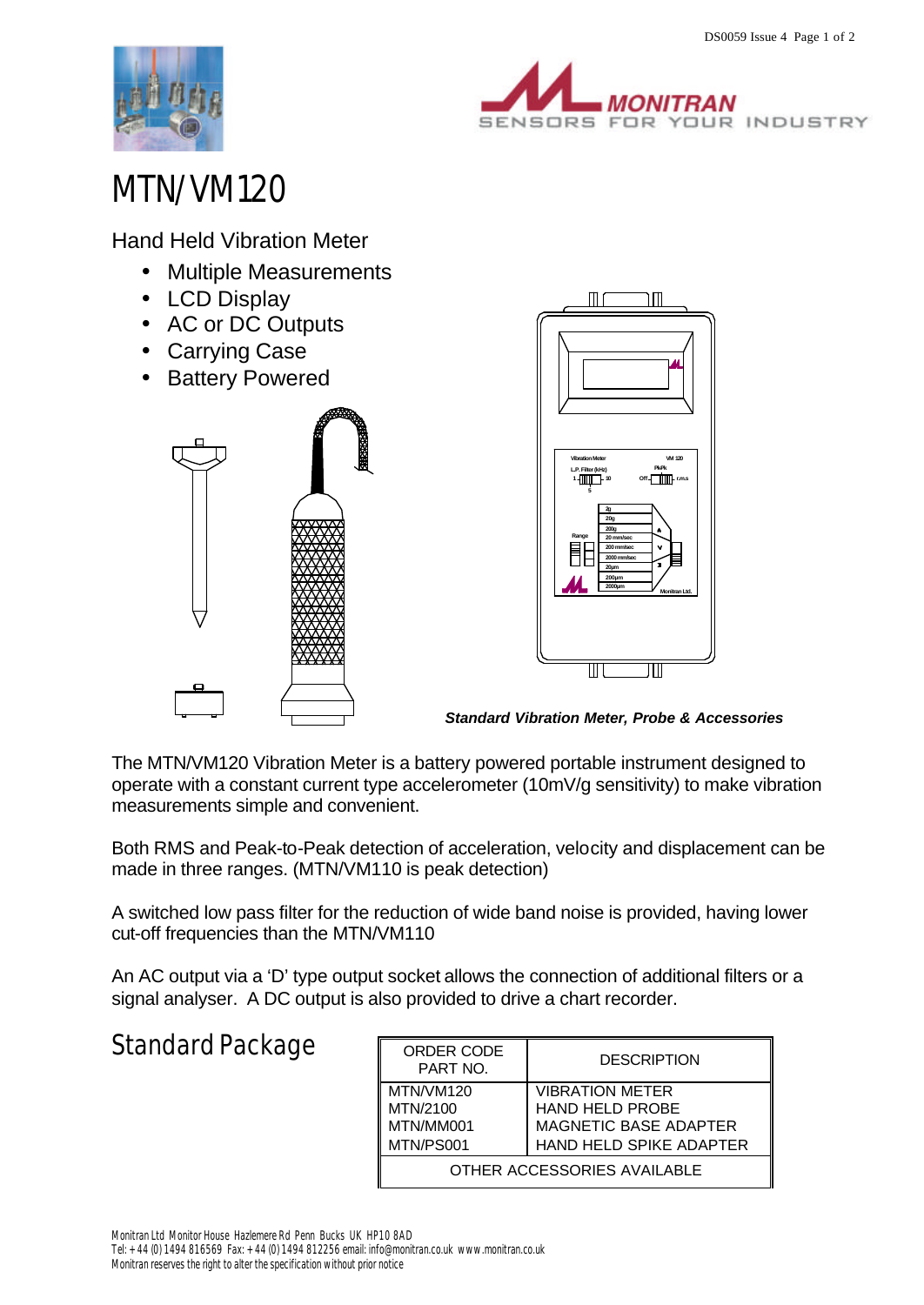



## MTN/VM120

Hand Held Vibration Meter

- Multiple Measurements
- LCD Display
- AC or DC Outputs
- Carrying Case
- Battery Powered





*Standard Vibration Meter, Probe & Accessories*

The MTN/VM120 Vibration Meter is a battery powered portable instrument designed to operate with a constant current type accelerometer (10mV/g sensitivity) to make vibration measurements simple and convenient.

Both RMS and Peak-to-Peak detection of acceleration, velocity and displacement can be made in three ranges. (MTN/VM110 is peak detection)

A switched low pass filter for the reduction of wide band noise is provided, having lower cut-off frequencies than the MTN/VM110

An AC output via a 'D' type output socket allows the connection of additional filters or a signal analyser. A DC output is also provided to drive a chart recorder.

## Standard Package

| ORDER CODE<br>PART NO.                          | <b>DESCRIPTION</b>                                                                                          |  |  |  |
|-------------------------------------------------|-------------------------------------------------------------------------------------------------------------|--|--|--|
| MTN/VM120<br>MTN/2100<br>MTN/MM001<br>MTN/PS001 | <b>VIBRATION METER</b><br><b>HAND HELD PROBE</b><br><b>MAGNETIC BASE ADAPTER</b><br>HAND HELD SPIKE ADAPTER |  |  |  |
| OTHER ACCESSORIES AVAILABLE                     |                                                                                                             |  |  |  |